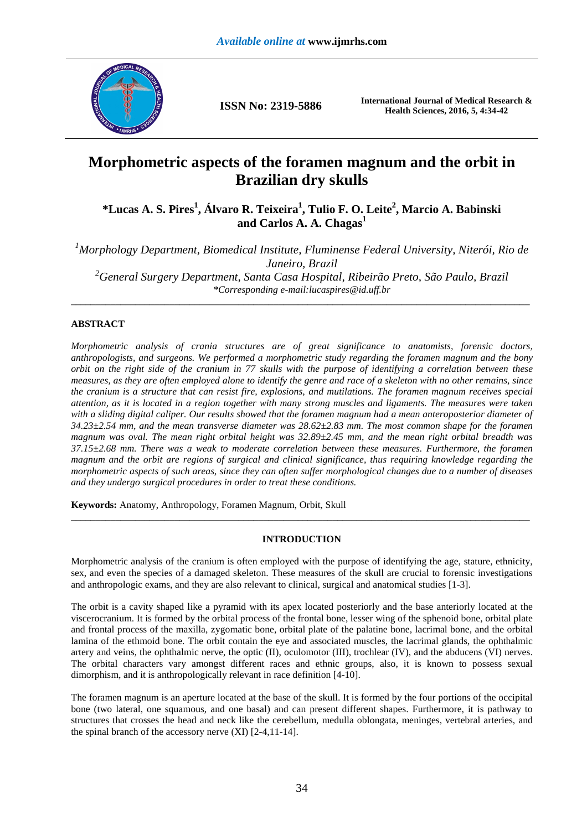

**ISSN No: 2319-5886 International Journal of Medical Research & Health Sciences, 2016, 5, 4:34-42** 

# **Morphometric aspects of the foramen magnum and the orbit in Brazilian dry skulls**

**\*Lucas A. S. Pires<sup>1</sup> , Álvaro R. Teixeira<sup>1</sup> , Tulio F. O. Leite<sup>2</sup> , Marcio A. Babinski and Carlos A. A. Chagas<sup>1</sup>**

*<sup>1</sup>Morphology Department, Biomedical Institute, Fluminense Federal University, Niterói, Rio de Janeiro, Brazil <sup>2</sup>General Surgery Department, Santa Casa Hospital, Ribeirão Preto, São Paulo, Brazil \*Corresponding e-mail:lucaspires@id.uff.br*  \_\_\_\_\_\_\_\_\_\_\_\_\_\_\_\_\_\_\_\_\_\_\_\_\_\_\_\_\_\_\_\_\_\_\_\_\_\_\_\_\_\_\_\_\_\_\_\_\_\_\_\_\_\_\_\_\_\_\_\_\_\_\_\_\_\_\_\_\_\_\_\_\_\_\_\_\_\_\_\_\_\_\_\_\_\_\_\_\_\_\_\_\_

# **ABSTRACT**

*Morphometric analysis of crania structures are of great significance to anatomists, forensic doctors, anthropologists, and surgeons. We performed a morphometric study regarding the foramen magnum and the bony orbit on the right side of the cranium in 77 skulls with the purpose of identifying a correlation between these measures, as they are often employed alone to identify the genre and race of a skeleton with no other remains, since the cranium is a structure that can resist fire, explosions, and mutilations. The foramen magnum receives special attention, as it is located in a region together with many strong muscles and ligaments. The measures were taken*  with a sliding digital caliper. Our results showed that the foramen magnum had a mean anteroposterior diameter of *34.23±2.54 mm, and the mean transverse diameter was 28.62±2.83 mm. The most common shape for the foramen magnum was oval. The mean right orbital height was 32.89±2.45 mm, and the mean right orbital breadth was 37.15±2.68 mm. There was a weak to moderate correlation between these measures. Furthermore, the foramen magnum and the orbit are regions of surgical and clinical significance, thus requiring knowledge regarding the morphometric aspects of such areas, since they can often suffer morphological changes due to a number of diseases and they undergo surgical procedures in order to treat these conditions.* 

**Keywords:** Anatomy, Anthropology, Foramen Magnum, Orbit, Skull

## **INTRODUCTION**

\_\_\_\_\_\_\_\_\_\_\_\_\_\_\_\_\_\_\_\_\_\_\_\_\_\_\_\_\_\_\_\_\_\_\_\_\_\_\_\_\_\_\_\_\_\_\_\_\_\_\_\_\_\_\_\_\_\_\_\_\_\_\_\_\_\_\_\_\_\_\_\_\_\_\_\_\_\_\_\_\_\_\_\_\_\_\_\_\_\_\_\_\_

Morphometric analysis of the cranium is often employed with the purpose of identifying the age, stature, ethnicity, sex, and even the species of a damaged skeleton. These measures of the skull are crucial to forensic investigations and anthropologic exams, and they are also relevant to clinical, surgical and anatomical studies [1-3].

The orbit is a cavity shaped like a pyramid with its apex located posteriorly and the base anteriorly located at the viscerocranium. It is formed by the orbital process of the frontal bone, lesser wing of the sphenoid bone, orbital plate and frontal process of the maxilla, zygomatic bone, orbital plate of the palatine bone, lacrimal bone, and the orbital lamina of the ethmoid bone. The orbit contain the eye and associated muscles, the lacrimal glands, the ophthalmic artery and veins, the ophthalmic nerve, the optic (II), oculomotor (III), trochlear (IV), and the abducens (VI) nerves. The orbital characters vary amongst different races and ethnic groups, also, it is known to possess sexual dimorphism, and it is anthropologically relevant in race definition [4-10].

The foramen magnum is an aperture located at the base of the skull. It is formed by the four portions of the occipital bone (two lateral, one squamous, and one basal) and can present different shapes. Furthermore, it is pathway to structures that crosses the head and neck like the cerebellum, medulla oblongata, meninges, vertebral arteries, and the spinal branch of the accessory nerve (XI) [2-4,11-14].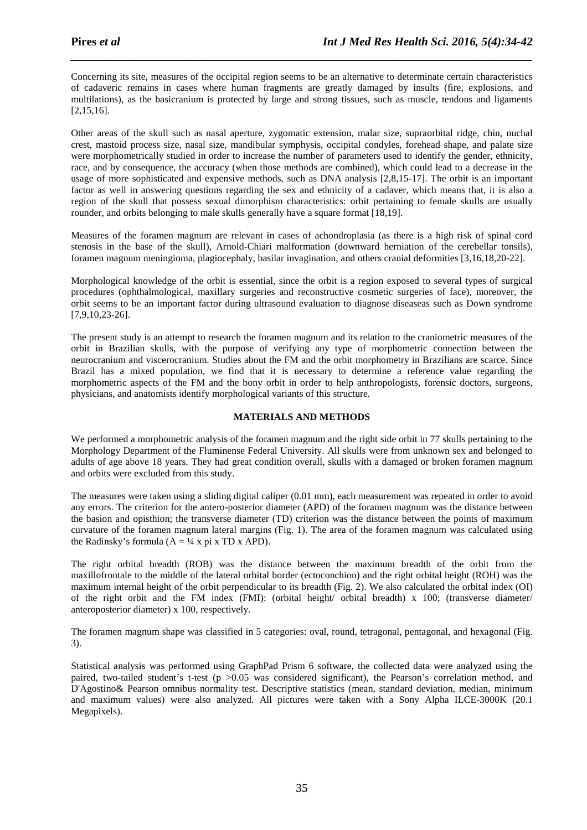Concerning its site, measures of the occipital region seems to be an alternative to determinate certain characteristics of cadaveric remains in cases where human fragments are greatly damaged by insults (fire, explosions, and multilations), as the basicranium is protected by large and strong tissues, such as muscle, tendons and ligaments [2,15,16].

*\_\_\_\_\_\_\_\_\_\_\_\_\_\_\_\_\_\_\_\_\_\_\_\_\_\_\_\_\_\_\_\_\_\_\_\_\_\_\_\_\_\_\_\_\_\_\_\_\_\_\_\_\_\_\_\_\_\_\_\_\_\_\_\_\_\_\_\_\_\_\_\_\_\_\_\_\_\_*

Other areas of the skull such as nasal aperture, zygomatic extension, malar size, supraorbital ridge, chin, nuchal crest, mastoid process size, nasal size, mandibular symphysis, occipital condyles, forehead shape, and palate size were morphometrically studied in order to increase the number of parameters used to identify the gender, ethnicity, race, and by consequence, the accuracy (when those methods are combined), which could lead to a decrease in the usage of more sophisticated and expensive methods, such as DNA analysis [2,8,15-17]. The orbit is an important factor as well in answering questions regarding the sex and ethnicity of a cadaver, which means that, it is also a region of the skull that possess sexual dimorphism characteristics: orbit pertaining to female skulls are usually rounder, and orbits belonging to male skulls generally have a square format [18,19].

Measures of the foramen magnum are relevant in cases of achondroplasia (as there is a high risk of spinal cord stenosis in the base of the skull), Arnold-Chiari malformation (downward herniation of the cerebellar tonsils), foramen magnum meningioma, plagiocephaly, basilar invagination, and others cranial deformities [3,16,18,20-22].

Morphological knowledge of the orbit is essential, since the orbit is a region exposed to several types of surgical procedures (ophthalmological, maxillary surgeries and reconstructive cosmetic surgeries of face), moreover, the orbit seems to be an important factor during ultrasound evaluation to diagnose diseaseas such as Down syndrome [7,9,10,23-26].

The present study is an attempt to research the foramen magnum and its relation to the craniometric measures of the orbit in Brazilian skulls, with the purpose of verifying any type of morphometric connection between the neurocranium and viscerocranium. Studies about the FM and the orbit morphometry in Brazilians are scarce. Since Brazil has a mixed population, we find that it is necessary to determine a reference value regarding the morphometric aspects of the FM and the bony orbit in order to help anthropologists, forensic doctors, surgeons, physicians, and anatomists identify morphological variants of this structure.

## **MATERIALS AND METHODS**

We performed a morphometric analysis of the foramen magnum and the right side orbit in 77 skulls pertaining to the Morphology Department of the Fluminense Federal University. All skulls were from unknown sex and belonged to adults of age above 18 years. They had great condition overall, skulls with a damaged or broken foramen magnum and orbits were excluded from this study.

The measures were taken using a sliding digital caliper (0.01 mm), each measurement was repeated in order to avoid any errors. The criterion for the antero-posterior diameter (APD) of the foramen magnum was the distance between the basion and opisthion; the transverse diameter (TD) criterion was the distance between the points of maximum curvature of the foramen magnum lateral margins (Fig. 1). The area of the foramen magnum was calculated using the Radinsky's formula  $(A = \frac{1}{4} x \pi)$  x TD x APD).

The right orbital breadth (ROB) was the distance between the maximum breadth of the orbit from the maxillofrontale to the middle of the lateral orbital border (ectoconchion) and the right orbital height (ROH) was the maximum internal height of the orbit perpendicular to its breadth (Fig. 2). We also calculated the orbital index (OI) of the right orbit and the FM index (FMI): (orbital height/ orbital breadth) x 100; (transverse diameter/ anteroposterior diameter) x 100, respectively.

The foramen magnum shape was classified in 5 categories: oval, round, tetragonal, pentagonal, and hexagonal (Fig. 3).

Statistical analysis was performed using GraphPad Prism 6 software, the collected data were analyzed using the paired, two-tailed student's t-test (p >0.05 was considered significant), the Pearson's correlation method, and D'Agostino& Pearson omnibus normality test. Descriptive statistics (mean, standard deviation, median, minimum and maximum values) were also analyzed. All pictures were taken with a Sony Alpha ILCE-3000K (20.1 Megapixels).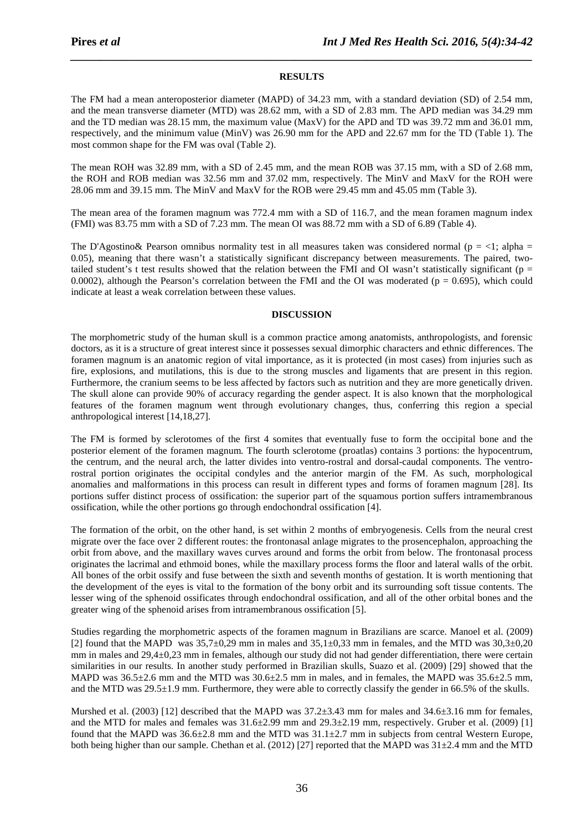## **RESULTS**

*\_\_\_\_\_\_\_\_\_\_\_\_\_\_\_\_\_\_\_\_\_\_\_\_\_\_\_\_\_\_\_\_\_\_\_\_\_\_\_\_\_\_\_\_\_\_\_\_\_\_\_\_\_\_\_\_\_\_\_\_\_\_\_\_\_\_\_\_\_\_\_\_\_\_\_\_\_\_*

The FM had a mean anteroposterior diameter (MAPD) of 34.23 mm, with a standard deviation (SD) of 2.54 mm, and the mean transverse diameter (MTD) was 28.62 mm, with a SD of 2.83 mm. The APD median was 34.29 mm and the TD median was 28.15 mm, the maximum value (MaxV) for the APD and TD was 39.72 mm and 36.01 mm, respectively, and the minimum value (MinV) was 26.90 mm for the APD and 22.67 mm for the TD (Table 1). The most common shape for the FM was oval (Table 2).

The mean ROH was 32.89 mm, with a SD of 2.45 mm, and the mean ROB was 37.15 mm, with a SD of 2.68 mm, the ROH and ROB median was 32.56 mm and 37.02 mm, respectively. The MinV and MaxV for the ROH were 28.06 mm and 39.15 mm. The MinV and MaxV for the ROB were 29.45 mm and 45.05 mm (Table 3).

The mean area of the foramen magnum was 772.4 mm with a SD of 116.7, and the mean foramen magnum index (FMI) was 83.75 mm with a SD of 7.23 mm. The mean OI was 88.72 mm with a SD of 6.89 (Table 4).

The D'Agostino& Pearson omnibus normality test in all measures taken was considered normal ( $p = <1$ ; alpha = 0.05), meaning that there wasn't a statistically significant discrepancy between measurements. The paired, twotailed student's t test results showed that the relation between the FMI and OI wasn't statistically significant ( $p =$ 0.0002), although the Pearson's correlation between the FMI and the OI was moderated ( $p = 0.695$ ), which could indicate at least a weak correlation between these values.

#### **DISCUSSION**

The morphometric study of the human skull is a common practice among anatomists, anthropologists, and forensic doctors, as it is a structure of great interest since it possesses sexual dimorphic characters and ethnic differences. The foramen magnum is an anatomic region of vital importance, as it is protected (in most cases) from injuries such as fire, explosions, and mutilations, this is due to the strong muscles and ligaments that are present in this region. Furthermore, the cranium seems to be less affected by factors such as nutrition and they are more genetically driven. The skull alone can provide 90% of accuracy regarding the gender aspect. It is also known that the morphological features of the foramen magnum went through evolutionary changes, thus, conferring this region a special anthropological interest [14,18,27].

The FM is formed by sclerotomes of the first 4 somites that eventually fuse to form the occipital bone and the posterior element of the foramen magnum. The fourth sclerotome (proatlas) contains 3 portions: the hypocentrum, the centrum, and the neural arch, the latter divides into ventro-rostral and dorsal-caudal components. The ventrorostral portion originates the occipital condyles and the anterior margin of the FM. As such, morphological anomalies and malformations in this process can result in different types and forms of foramen magnum [28]. Its portions suffer distinct process of ossification: the superior part of the squamous portion suffers intramembranous ossification, while the other portions go through endochondral ossification [4].

The formation of the orbit, on the other hand, is set within 2 months of embryogenesis. Cells from the neural crest migrate over the face over 2 different routes: the frontonasal anlage migrates to the prosencephalon, approaching the orbit from above, and the maxillary waves curves around and forms the orbit from below. The frontonasal process originates the lacrimal and ethmoid bones, while the maxillary process forms the floor and lateral walls of the orbit. All bones of the orbit ossify and fuse between the sixth and seventh months of gestation. It is worth mentioning that the development of the eyes is vital to the formation of the bony orbit and its surrounding soft tissue contents. The lesser wing of the sphenoid ossificates through endochondral ossification, and all of the other orbital bones and the greater wing of the sphenoid arises from intramembranous ossification [5].

Studies regarding the morphometric aspects of the foramen magnum in Brazilians are scarce. Manoel et al. (2009) [2] found that the MAPD was  $35,7\pm0.29$  mm in males and  $35,1\pm0.33$  mm in females, and the MTD was  $30,3\pm0.20$ mm in males and 29,4±0,23 mm in females, although our study did not had gender differentiation, there were certain similarities in our results. In another study performed in Brazilian skulls, Suazo et al. (2009) [29] showed that the MAPD was  $36.5\pm2.6$  mm and the MTD was  $30.6\pm2.5$  mm in males, and in females, the MAPD was  $35.6\pm2.5$  mm, and the MTD was 29.5±1.9 mm. Furthermore, they were able to correctly classify the gender in 66.5% of the skulls.

Murshed et al. (2003) [12] described that the MAPD was  $37.2\pm3.43$  mm for males and  $34.6\pm3.16$  mm for females, and the MTD for males and females was 31.6±2.99 mm and 29.3±2.19 mm, respectively. Gruber et al. (2009) [1] found that the MAPD was 36.6±2.8 mm and the MTD was 31.1±2.7 mm in subjects from central Western Europe, both being higher than our sample. Chethan et al. (2012) [27] reported that the MAPD was 31±2.4 mm and the MTD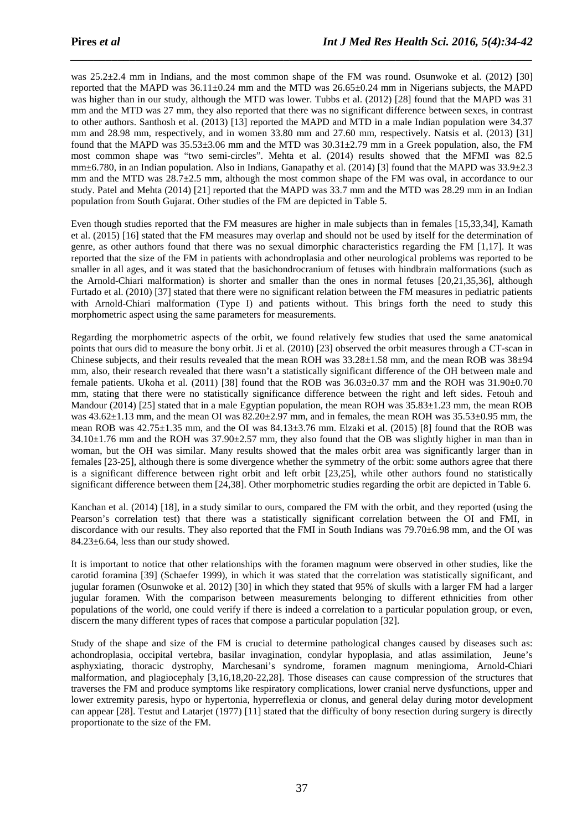was 25.2±2.4 mm in Indians, and the most common shape of the FM was round. Osunwoke et al. (2012) [30] reported that the MAPD was 36.11±0.24 mm and the MTD was 26.65±0.24 mm in Nigerians subjects, the MAPD was higher than in our study, although the MTD was lower. Tubbs et al. (2012) [28] found that the MAPD was 31 mm and the MTD was 27 mm, they also reported that there was no significant difference between sexes, in contrast to other authors. Santhosh et al. (2013) [13] reported the MAPD and MTD in a male Indian population were 34.37 mm and 28.98 mm, respectively, and in women 33.80 mm and 27.60 mm, respectively. Natsis et al. (2013) [31] found that the MAPD was  $35.53\pm3.06$  mm and the MTD was  $30.31\pm2.79$  mm in a Greek population, also, the FM most common shape was "two semi-circles". Mehta et al. (2014) results showed that the MFMI was 82.5 mm $\pm$ 6.780, in an Indian population. Also in Indians, Ganapathy et al. (2014) [3] found that the MAPD was 33.9 $\pm$ 2.3 mm and the MTD was 28.7±2.5 mm, although the most common shape of the FM was oval, in accordance to our study. Patel and Mehta (2014) [21] reported that the MAPD was 33.7 mm and the MTD was 28.29 mm in an Indian population from South Gujarat. Other studies of the FM are depicted in Table 5.

*\_\_\_\_\_\_\_\_\_\_\_\_\_\_\_\_\_\_\_\_\_\_\_\_\_\_\_\_\_\_\_\_\_\_\_\_\_\_\_\_\_\_\_\_\_\_\_\_\_\_\_\_\_\_\_\_\_\_\_\_\_\_\_\_\_\_\_\_\_\_\_\_\_\_\_\_\_\_*

Even though studies reported that the FM measures are higher in male subjects than in females [15,33,34], Kamath et al. (2015) [16] stated that the FM measures may overlap and should not be used by itself for the determination of genre, as other authors found that there was no sexual dimorphic characteristics regarding the FM [1,17]. It was reported that the size of the FM in patients with achondroplasia and other neurological problems was reported to be smaller in all ages, and it was stated that the basichondrocranium of fetuses with hindbrain malformations (such as the Arnold-Chiari malformation) is shorter and smaller than the ones in normal fetuses [20,21,35,36], although Furtado et al. (2010) [37] stated that there were no significant relation between the FM measures in pediatric patients with Arnold-Chiari malformation (Type I) and patients without. This brings forth the need to study this morphometric aspect using the same parameters for measurements.

Regarding the morphometric aspects of the orbit, we found relatively few studies that used the same anatomical points that ours did to measure the bony orbit. Ji et al. (2010) [23] observed the orbit measures through a CT-scan in Chinese subjects, and their results revealed that the mean ROH was  $33.28\pm1.58$  mm, and the mean ROB was  $38\pm94$ mm, also, their research revealed that there wasn't a statistically significant difference of the OH between male and female patients. Ukoha et al. (2011) [38] found that the ROB was  $36.03\pm0.37$  mm and the ROH was  $31.90\pm0.70$ mm, stating that there were no statistically significance difference between the right and left sides. Fetouh and Mandour (2014) [25] stated that in a male Egyptian population, the mean ROH was  $35.83\pm1.23$  mm, the mean ROB was  $43.62\pm1.13$  mm, and the mean OI was  $82.20\pm2.97$  mm, and in females, the mean ROH was  $35.53\pm0.95$  mm, the mean ROB was 42.75±1.35 mm, and the OI was 84.13±3.76 mm. Elzaki et al. (2015) [8] found that the ROB was  $34.10\pm1.76$  mm and the ROH was  $37.90\pm2.57$  mm, they also found that the OB was slightly higher in man than in woman, but the OH was similar. Many results showed that the males orbit area was significantly larger than in females [23-25], although there is some divergence whether the symmetry of the orbit: some authors agree that there is a significant difference between right orbit and left orbit [23,25], while other authors found no statistically significant difference between them [24,38]. Other morphometric studies regarding the orbit are depicted in Table 6.

Kanchan et al. (2014) [18], in a study similar to ours, compared the FM with the orbit, and they reported (using the Pearson's correlation test) that there was a statistically significant correlation between the OI and FMI, in discordance with our results. They also reported that the FMI in South Indians was 79.70±6.98 mm, and the OI was  $84.23 \pm 6.64$ , less than our study showed.

It is important to notice that other relationships with the foramen magnum were observed in other studies, like the carotid foramina [39] (Schaefer 1999), in which it was stated that the correlation was statistically significant, and jugular foramen (Osunwoke et al. 2012) [30] in which they stated that 95% of skulls with a larger FM had a larger jugular foramen. With the comparison between measurements belonging to different ethnicities from other populations of the world, one could verify if there is indeed a correlation to a particular population group, or even, discern the many different types of races that compose a particular population [32].

Study of the shape and size of the FM is crucial to determine pathological changes caused by diseases such as: achondroplasia, occipital vertebra, basilar invagination, condylar hypoplasia, and atlas assimilation, Jeune's asphyxiating, thoracic dystrophy, Marchesani's syndrome, foramen magnum meningioma, Arnold-Chiari malformation, and plagiocephaly [3,16,18,20-22,28]. Those diseases can cause compression of the structures that traverses the FM and produce symptoms like respiratory complications, lower cranial nerve dysfunctions, upper and lower extremity paresis, hypo or hypertonia, hyperreflexia or clonus, and general delay during motor development can appear [28]. Testut and Latarjet (1977) [11] stated that the difficulty of bony resection during surgery is directly proportionate to the size of the FM.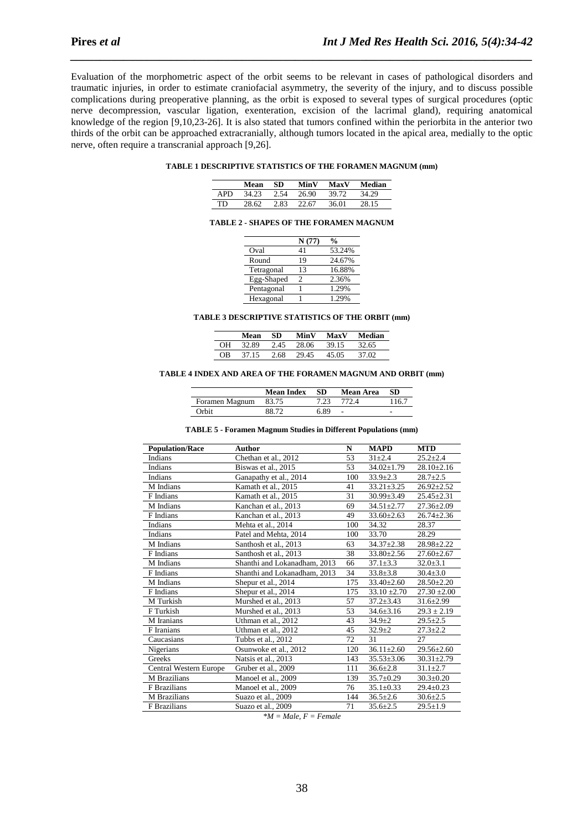Evaluation of the morphometric aspect of the orbit seems to be relevant in cases of pathological disorders and traumatic injuries, in order to estimate craniofacial asymmetry, the severity of the injury, and to discuss possible complications during preoperative planning, as the orbit is exposed to several types of surgical procedures (optic nerve decompression, vascular ligation, exenteration, excision of the lacrimal gland), requiring anatomical knowledge of the region [9,10,23-26]. It is also stated that tumors confined within the periorbita in the anterior two thirds of the orbit can be approached extracranially, although tumors located in the apical area, medially to the optic nerve, often require a transcranial approach [9,26].

*\_\_\_\_\_\_\_\_\_\_\_\_\_\_\_\_\_\_\_\_\_\_\_\_\_\_\_\_\_\_\_\_\_\_\_\_\_\_\_\_\_\_\_\_\_\_\_\_\_\_\_\_\_\_\_\_\_\_\_\_\_\_\_\_\_\_\_\_\_\_\_\_\_\_\_\_\_\_*

## **TABLE 1 DESCRIPTIVE STATISTICS OF THE FORAMEN MAGNUM (mm)**

|      | Mean  | SD.  | MinV  | MaxV  | Median |
|------|-------|------|-------|-------|--------|
| APD. | 34.23 | 2.54 | 26.90 | 39.72 | 34.29  |
| TD.  | 28.62 | 2.83 | 22.67 | 36.01 | 28.15  |

#### **TABLE 2 - SHAPES OF THE FORAMEN MAGNUM**

|            | N(77) | $\frac{0}{0}$ |
|------------|-------|---------------|
| Oval       | 41    | 53.24%        |
| Round      | 19    | 24.67%        |
| Tetragonal | 13    | 16.88%        |
| Egg-Shaped | 2     | 2.36%         |
| Pentagonal |       | 1.29%         |
| Hexagonal  |       | 1.29%         |

#### **TABLE 3 DESCRIPTIVE STATISTICS OF THE ORBIT (mm)**

|    | Mean  | SD   | MinV  | MaxV  | Median |
|----|-------|------|-------|-------|--------|
| OН | 32.89 | 2.45 | 28.06 | 39.15 | 32.65  |
| OΒ | 37 15 | 2.68 | 29.45 | 45.05 | 37 M   |

#### **TABLE 4 INDEX AND AREA OF THE FORAMEN MAGNUM AND ORBIT (mm)**

|                | <b>Mean Index</b> | SD 5 | Mean Area | -SD   |
|----------------|-------------------|------|-----------|-------|
| Foramen Magnum | 83.75             | 7.23 | 772.4     | 116.7 |
| Orbit          | 88.72             | 6.89 |           | -     |

#### **TABLE 5 - Foramen Magnum Studies in Different Populations (mm)**

| <b>Population/Race</b> | <b>Author</b>                | N   | <b>MAPD</b>      | <b>MTD</b>       |
|------------------------|------------------------------|-----|------------------|------------------|
| Indians                | Chethan et al., 2012         | 53  | $31 + 2.4$       | $25.2 + 2.4$     |
| Indians                | Biswas et al., 2015          | 53  | $34.02 \pm 1.79$ | $28.10 \pm 2.16$ |
| Indians                | Ganapathy et al., 2014       | 100 | $33.9 \pm 2.3$   | $28.7 + 2.5$     |
| M Indians              | Kamath et al., 2015          | 41  | $33.21 \pm 3.25$ | $26.92 \pm 2.52$ |
| F Indians              | Kamath et al., 2015          | 31  | $30.99 \pm 3.49$ | $25.45 \pm 2.31$ |
| M Indians              | Kanchan et al., 2013         | 69  | $34.51 \pm 2.77$ | $27.36 \pm 2.09$ |
| F Indians              | Kanchan et al., 2013         | 49  | $33.60 \pm 2.63$ | $26.74 \pm 2.36$ |
| Indians                | Mehta et al., 2014           | 100 | 34.32            | 28.37            |
| Indians                | Patel and Mehta, 2014        | 100 | 33.70            | 28.29            |
| M Indians              | Santhosh et al., 2013        | 63  | $34.37 + 2.38$   | $28.98 \pm 2.22$ |
| F Indians              | Santhosh et al., 2013        | 38  | $33.80 \pm 2.56$ | $27.60 \pm 2.67$ |
| M Indians              | Shanthi and Lokanadham, 2013 | 66  | $37.1 \pm 3.3$   | $32.0 \pm 3.1$   |
| F Indians              | Shanthi and Lokanadham, 2013 | 34  | $33.8 \pm 3.8$   | $30.4 \pm 3.0$   |
| M Indians              | Shepur et al., 2014          | 175 | $33.40 \pm 2.60$ | $28.50 \pm 2.20$ |
| F Indians              | Shepur et al., 2014          | 175 | $33.10 \pm 2.70$ | $27.30 \pm 2.00$ |
| M Turkish              | Murshed et al., 2013         | 57  | $37.2 \pm 3.43$  | $31.6 \pm 2.99$  |
| F Turkish              | Murshed et al., 2013         | 53  | $34.6 \pm 3.16$  | $29.3 \pm 2.19$  |
| M Iranians             | Uthman et al., 2012          | 43  | $34.9 \pm 2$     | $29.5 \pm 2.5$   |
| F Iranians             | Uthman et al., 2012          | 45  | $32.9 + 2$       | $27.3 \pm 2.2$   |
| Caucasians             | Tubbs et al., 2012           | 72  | 31               | 27               |
| Nigerians              | Osunwoke et al., 2012        | 120 | $36.11 \pm 2.60$ | $29.56 \pm 2.60$ |
| Greeks                 | Natsis et al., 2013          | 143 | $35.53 \pm 3.06$ | $30.31 \pm 2.79$ |
| Central Western Europe | Gruber et al., 2009          | 111 | $36.6 \pm 2.8$   | $31.1 \pm 2.7$   |
| M Brazilians           | Manoel et al., 2009          | 139 | $35.7 \pm 0.29$  | $30.3 \pm 0.20$  |
| F Brazilians           | Manoel et al., 2009          | 76  | $35.1 \pm 0.33$  | $29.4 \pm 0.23$  |
| M Brazilians           | Suazo et al., 2009           | 144 | $36.5 \pm 2.6$   | $30.6 \pm 2.5$   |
| <b>F</b> Brazilians    | Suazo et al., 2009           | 71  | $35.6 \pm 2.5$   | $29.5 \pm 1.9$   |

*\*M = Male, F = Female*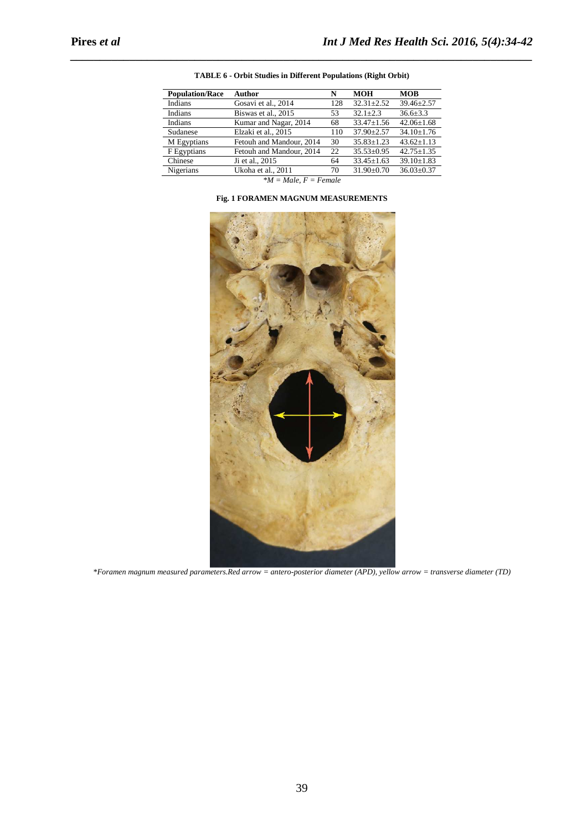| <b>Population/Race</b> | <b>Author</b>            | N   | <b>MOH</b>       | <b>MOB</b>       |
|------------------------|--------------------------|-----|------------------|------------------|
| Indians                | Gosavi et al., 2014      | 128 | $32.31 \pm 2.52$ | $39.46 \pm 2.57$ |
| Indians                | Biswas et al., 2015      | 53  | $32.1 + 2.3$     | $36.6 \pm 3.3$   |
| Indians                | Kumar and Nagar, 2014    | 68  | $33.47 \pm 1.56$ | $42.06 \pm 1.68$ |
| Sudanese               | Elzaki et al., 2015      | 110 | $37.90 \pm 2.57$ | $34.10 \pm 1.76$ |
| M Egyptians            | Fetouh and Mandour, 2014 | 30  | $35.83 \pm 1.23$ | $43.62 \pm 1.13$ |
| F Egyptians            | Fetouh and Mandour, 2014 | 22  | $35.53 \pm 0.95$ | $42.75 \pm 1.35$ |
| Chinese                | Ji et al., 2015          | 64  | $33.45 \pm 1.63$ | $39.10 \pm 1.83$ |
| Nigerians              | Ukoha et al., 2011       | 70  | $31.90 \pm 0.70$ | $36.03 \pm 0.37$ |
|                        | $\cdots$<br>$\sim$       |     |                  |                  |

| TABLE 6 - Orbit Studies in Different Populations (Right Orbit) |
|----------------------------------------------------------------|
|----------------------------------------------------------------|

*\_\_\_\_\_\_\_\_\_\_\_\_\_\_\_\_\_\_\_\_\_\_\_\_\_\_\_\_\_\_\_\_\_\_\_\_\_\_\_\_\_\_\_\_\_\_\_\_\_\_\_\_\_\_\_\_\_\_\_\_\_\_\_\_\_\_\_\_\_\_\_\_\_\_\_\_\_\_*

*\*M = Male, F = Female* 



# **Fig. 1 FORAMEN MAGNUM MEASUREMENTS**

*\*Foramen magnum measured parameters.Red arrow = antero-posterior diameter (APD), yellow arrow = transverse diameter (TD)*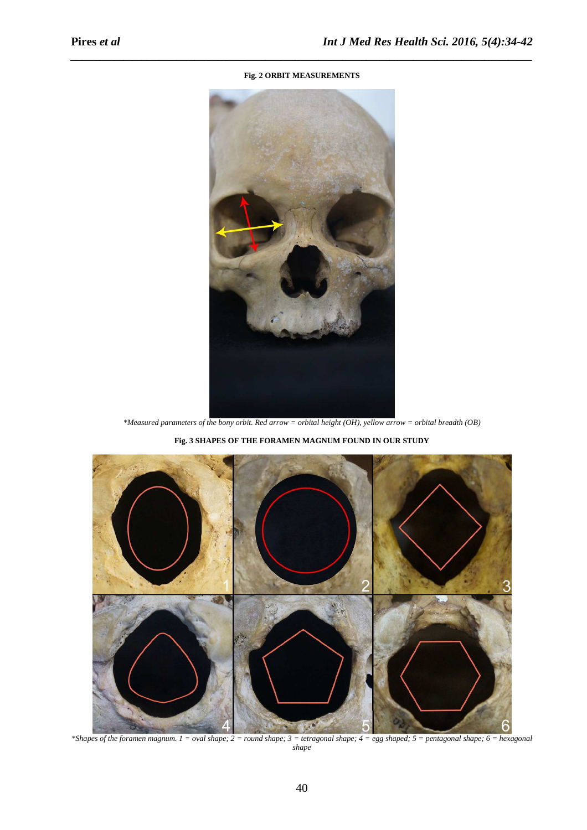# **Fig. 2 ORBIT MEASUREMENTS**

*\_\_\_\_\_\_\_\_\_\_\_\_\_\_\_\_\_\_\_\_\_\_\_\_\_\_\_\_\_\_\_\_\_\_\_\_\_\_\_\_\_\_\_\_\_\_\_\_\_\_\_\_\_\_\_\_\_\_\_\_\_\_\_\_\_\_\_\_\_\_\_\_\_\_\_\_\_\_*



*\*Measured parameters of the bony orbit. Red arrow = orbital height (OH), yellow arrow = orbital breadth (OB)* 

**Fig. 3 SHAPES OF THE FORAMEN MAGNUM FOUND IN OUR STUDY** 



*\*Shapes of the foramen magnum. 1 = oval shape; 2 = round shape; 3 = tetragonal shape; 4 = egg shaped; 5 = pentagonal shape; 6 = hexagonal shape*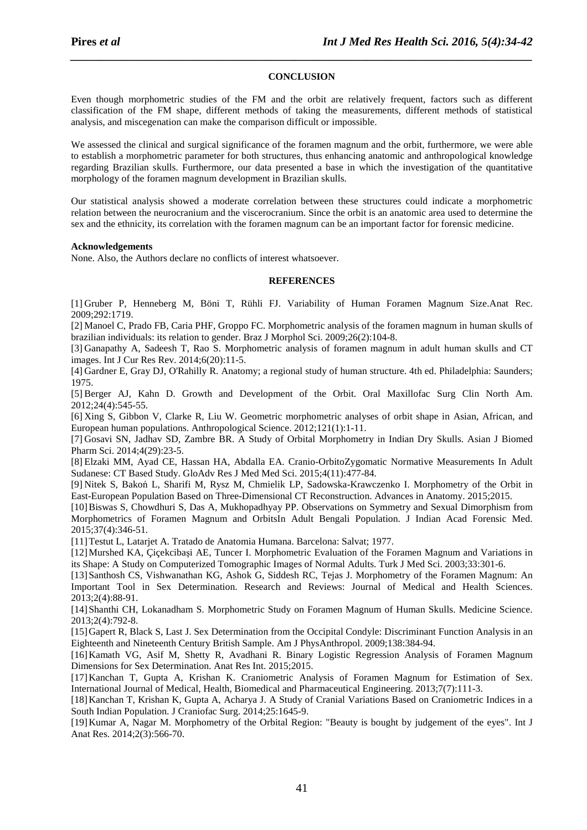## **CONCLUSION**

*\_\_\_\_\_\_\_\_\_\_\_\_\_\_\_\_\_\_\_\_\_\_\_\_\_\_\_\_\_\_\_\_\_\_\_\_\_\_\_\_\_\_\_\_\_\_\_\_\_\_\_\_\_\_\_\_\_\_\_\_\_\_\_\_\_\_\_\_\_\_\_\_\_\_\_\_\_\_*

Even though morphometric studies of the FM and the orbit are relatively frequent, factors such as different classification of the FM shape, different methods of taking the measurements, different methods of statistical analysis, and miscegenation can make the comparison difficult or impossible.

We assessed the clinical and surgical significance of the foramen magnum and the orbit, furthermore, we were able to establish a morphometric parameter for both structures, thus enhancing anatomic and anthropological knowledge regarding Brazilian skulls. Furthermore, our data presented a base in which the investigation of the quantitative morphology of the foramen magnum development in Brazilian skulls.

Our statistical analysis showed a moderate correlation between these structures could indicate a morphometric relation between the neurocranium and the viscerocranium. Since the orbit is an anatomic area used to determine the sex and the ethnicity, its correlation with the foramen magnum can be an important factor for forensic medicine.

### **Acknowledgements**

None. Also, the Authors declare no conflicts of interest whatsoever.

## **REFERENCES**

[1] Gruber P, Henneberg M, Böni T, Rühli FJ. Variability of Human Foramen Magnum Size.Anat Rec. 2009;292:1719.

[2] Manoel C, Prado FB, Caria PHF, Groppo FC. Morphometric analysis of the foramen magnum in human skulls of brazilian individuals: its relation to gender. Braz J Morphol Sci. 2009;26(2):104-8.

[3] Ganapathy A, Sadeesh T, Rao S. Morphometric analysis of foramen magnum in adult human skulls and CT images. Int J Cur Res Rev. 2014;6(20):11-5.

[4] Gardner E, Gray DJ, O'Rahilly R. Anatomy; a regional study of human structure. 4th ed. Philadelphia: Saunders; 1975.

[5] Berger AJ, Kahn D. Growth and Development of the Orbit. Oral Maxillofac Surg Clin North Am. 2012;24(4):545-55.

[6] Xing S, Gibbon V, Clarke R, Liu W. Geometric morphometric analyses of orbit shape in Asian, African, and European human populations. Anthropological Science. 2012;121(1):1-11.

[7] Gosavi SN, Jadhav SD, Zambre BR. A Study of Orbital Morphometry in Indian Dry Skulls. Asian J Biomed Pharm Sci. 2014;4(29):23-5.

[8] Elzaki MM, Ayad CE, Hassan HA, Abdalla EA. Cranio-OrbitoZygomatic Normative Measurements In Adult Sudanese: CT Based Study. GloAdv Res J Med Med Sci. 2015;4(11):477-84.

[9] Nitek S, Bakoń L, Sharifi M, Rysz M, Chmielik LP, Sadowska-Krawczenko I. Morphometry of the Orbit in East-European Population Based on Three-Dimensional CT Reconstruction. Advances in Anatomy. 2015;2015.

[10]Biswas S, Chowdhuri S, Das A, Mukhopadhyay PP. Observations on Symmetry and Sexual Dimorphism from Morphometrics of Foramen Magnum and OrbitsIn Adult Bengali Population. J Indian Acad Forensic Med. 2015;37(4):346-51.

[11]Testut L, Latarjet A. Tratado de Anatomia Humana. Barcelona: Salvat; 1977.

[12]Murshed KA, Çiçekcibaşi AE, Tuncer I. Morphometric Evaluation of the Foramen Magnum and Variations in its Shape: A Study on Computerized Tomographic Images of Normal Adults. Turk J Med Sci. 2003;33:301-6.

[13]Santhosh CS, Vishwanathan KG, Ashok G, Siddesh RC, Tejas J. Morphometry of the Foramen Magnum: An Important Tool in Sex Determination. Research and Reviews: Journal of Medical and Health Sciences. 2013;2(4):88-91.

[14]Shanthi CH, Lokanadham S. Morphometric Study on Foramen Magnum of Human Skulls. Medicine Science. 2013;2(4):792-8.

[15]Gapert R, Black S, Last J. Sex Determination from the Occipital Condyle: Discriminant Function Analysis in an Eighteenth and Nineteenth Century British Sample. Am J PhysAnthropol. 2009;138:384-94.

[16]Kamath VG, Asif M, Shetty R, Avadhani R. Binary Logistic Regression Analysis of Foramen Magnum Dimensions for Sex Determination. Anat Res Int. 2015;2015.

[17]Kanchan T, Gupta A, Krishan K. Craniometric Analysis of Foramen Magnum for Estimation of Sex. International Journal of Medical, Health, Biomedical and Pharmaceutical Engineering. 2013;7(7):111-3.

[18]Kanchan T, Krishan K, Gupta A, Acharya J. A Study of Cranial Variations Based on Craniometric Indices in a South Indian Population. J Craniofac Surg. 2014;25:1645-9.

[19]Kumar A, Nagar M. Morphometry of the Orbital Region: "Beauty is bought by judgement of the eyes". Int J Anat Res. 2014;2(3):566-70.